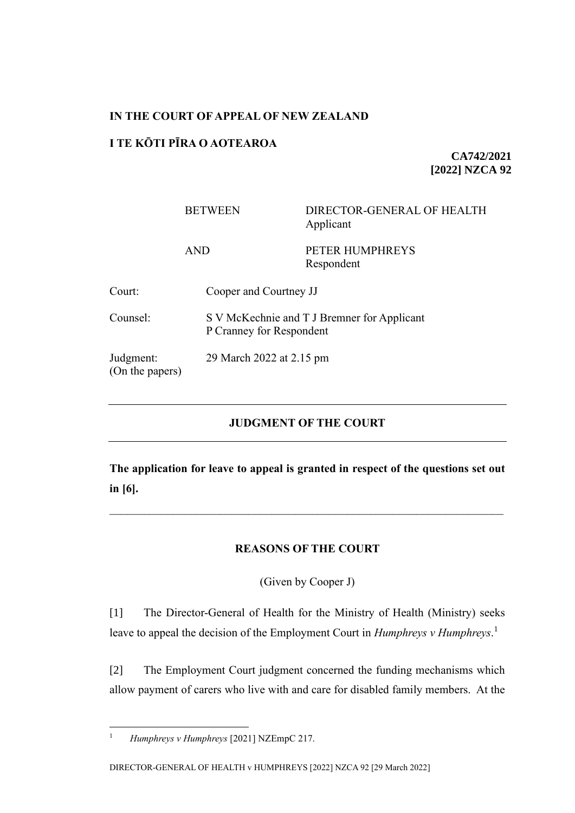#### **IN THE COURT OF APPEAL OF NEW ZEALAND**

### **I TE KŌTI PĪRA O AOTEAROA**

**CA742/2021 [2022] NZCA 92**

BETWEEN DIRECTOR-GENERAL OF HEALTH Applicant

# AND PETER HUMPHREYS Respondent

| Court:                       | Cooper and Courtney JJ                                                  |
|------------------------------|-------------------------------------------------------------------------|
| Counsel:                     | S V McKechnie and T J Bremner for Applicant<br>P Cranney for Respondent |
| Judgment:<br>(On the papers) | 29 March 2022 at 2.15 pm                                                |

## **JUDGMENT OF THE COURT**

**The application for leave to appeal is granted in respect of the questions set out in [6].**

### **REASONS OF THE COURT**

(Given by Cooper J)

[1] The Director-General of Health for the Ministry of Health (Ministry) seeks leave to appeal the decision of the Employment Court in *Humphreys v Humphreys*. 1

[2] The Employment Court judgment concerned the funding mechanisms which allow payment of carers who live with and care for disabled family members. At the

<sup>1</sup> *Humphreys v Humphreys* [2021] NZEmpC 217.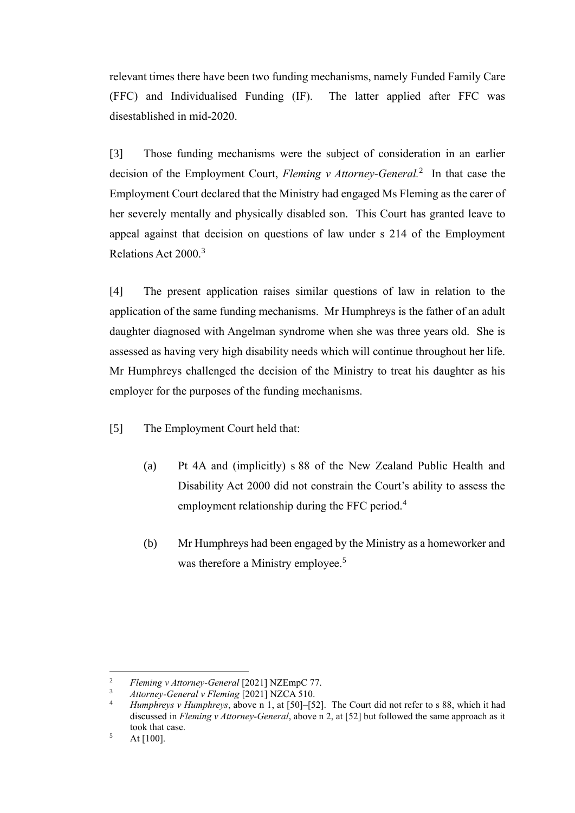relevant times there have been two funding mechanisms, namely Funded Family Care (FFC) and Individualised Funding (IF). The latter applied after FFC was disestablished in mid-2020.

[3] Those funding mechanisms were the subject of consideration in an earlier decision of the Employment Court, *Fleming v Attorney-General*.<sup>2</sup> In that case the Employment Court declared that the Ministry had engaged Ms Fleming as the carer of her severely mentally and physically disabled son. This Court has granted leave to appeal against that decision on questions of law under s 214 of the Employment Relations Act 2000.<sup>3</sup>

[4] The present application raises similar questions of law in relation to the application of the same funding mechanisms. Mr Humphreys is the father of an adult daughter diagnosed with Angelman syndrome when she was three years old. She is assessed as having very high disability needs which will continue throughout her life. Mr Humphreys challenged the decision of the Ministry to treat his daughter as his employer for the purposes of the funding mechanisms.

- [5] The Employment Court held that:
	- (a) Pt 4A and (implicitly) s 88 of the New Zealand Public Health and Disability Act 2000 did not constrain the Court's ability to assess the employment relationship during the FFC period.<sup>4</sup>
	- (b) Mr Humphreys had been engaged by the Ministry as a homeworker and was therefore a Ministry employee.<sup>5</sup>

<sup>&</sup>lt;sup>2</sup> *Fleming v Attorney-General* [2021] NZEmpC 77.

<sup>3</sup> *Attorney-General v Fleming* [2021] NZCA 510.

<sup>4</sup> *Humphreys v Humphreys*, above n 1, at [50]–[52]. The Court did not refer to s 88, which it had discussed in *Fleming v Attorney-General*, above n 2, at [52] but followed the same approach as it took that case.

 $5$  At [100].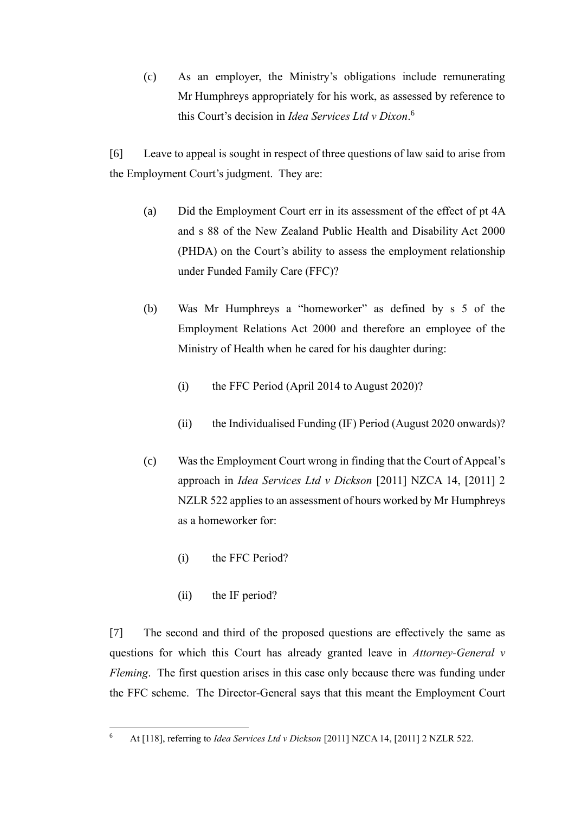(c) As an employer, the Ministry's obligations include remunerating Mr Humphreys appropriately for his work, as assessed by reference to this Court's decision in *Idea Services Ltd v Dixon*. 6

[6] Leave to appeal is sought in respect of three questions of law said to arise from the Employment Court's judgment. They are:

- (a) Did the Employment Court err in its assessment of the effect of pt 4A and s 88 of the New Zealand Public Health and Disability Act 2000 (PHDA) on the Court's ability to assess the employment relationship under Funded Family Care (FFC)?
- (b) Was Mr Humphreys a "homeworker" as defined by s 5 of the Employment Relations Act 2000 and therefore an employee of the Ministry of Health when he cared for his daughter during:
	- (i) the FFC Period (April 2014 to August 2020)?
	- (ii) the Individualised Funding (IF) Period (August 2020 onwards)?
- (c) Was the Employment Court wrong in finding that the Court of Appeal's approach in *Idea Services Ltd v Dickson* [2011] NZCA 14, [2011] 2 NZLR 522 applies to an assessment of hours worked by Mr Humphreys as a homeworker for:
	- (i) the FFC Period?
	- (ii) the IF period?

[7] The second and third of the proposed questions are effectively the same as questions for which this Court has already granted leave in *Attorney-General v Fleming*. The first question arises in this case only because there was funding under the FFC scheme. The Director-General says that this meant the Employment Court

<sup>6</sup> At [118], referring to *Idea Services Ltd v Dickson* [2011] NZCA 14, [2011] 2 NZLR 522.